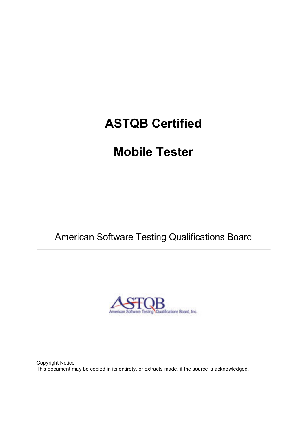# **ASTQB Certified**

# **Mobile Tester**

## American Software Testing Qualifications Board



Copyright Notice This document may be copied in its entirety, or extracts made, if the source is acknowledged.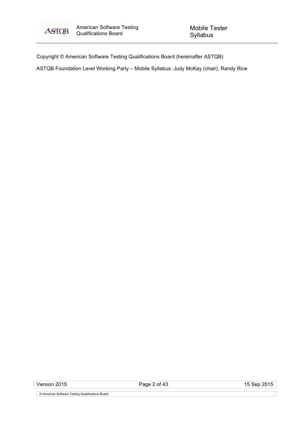

Copyright © American Software Testing Qualifications Board (hereinafter ASTQB)

ASTQB Foundation Level Working Party – Mobile Syllabus: Judy McKay (chair), Randy Rice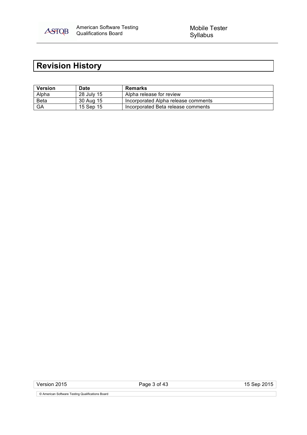

## **Revision History**

| <b>Version</b> | <b>Date</b> | Remarks                             |
|----------------|-------------|-------------------------------------|
| Alpha          | 28 July 15  | Alpha release for review            |
| <b>Beta</b>    | 30 Aug 15   | Incorporated Alpha release comments |
| GA             | 15 Sep 15   | Incorporated Beta release comments  |

Version 2015 **Page 3 of 43** 15 Sep 2015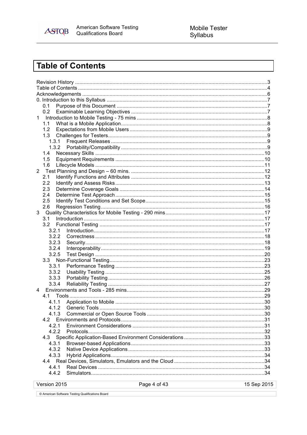

## **Table of Contents**

|                | 0.1          |              |             |
|----------------|--------------|--------------|-------------|
|                | 0.2          |              |             |
| 1              |              |              |             |
|                | 1.1          |              |             |
|                | 1.2          |              |             |
|                | 1.3          |              |             |
|                | 1.3.1        |              |             |
|                | 1.3.2        |              |             |
|                | 1.4          |              |             |
|                | 1.5          |              |             |
|                | 1.6          |              |             |
| $\overline{2}$ |              |              |             |
|                | 2.1          |              |             |
|                | 2.2          |              |             |
|                | 2.3          |              |             |
|                | 2.4          |              |             |
|                | 2.5          |              |             |
|                | 2.6          |              |             |
| 3              |              |              |             |
|                | 3.1          |              |             |
|                | 3.2          |              |             |
|                | 3.2.1        |              |             |
|                | 3.2.2        |              |             |
|                | 3.2.3        |              |             |
|                | 3.2.4        |              |             |
|                | 3.2.5        |              |             |
|                |              |              |             |
|                | 3.3.1        |              |             |
|                | 3.3.2        |              |             |
|                | 3.3.3        |              |             |
|                | 3.3.4        |              |             |
| 4              |              |              |             |
|                | 4.1          |              |             |
|                | 4.1.1        |              |             |
|                | 4.1.2        |              |             |
|                | 4.1.3        |              |             |
|                | 4.2          |              |             |
|                | 4.2.1        |              |             |
|                | 4.2.2        |              |             |
|                | 4.3          |              |             |
|                | 4.3.1        |              |             |
|                | 4.3.2        |              |             |
|                | 4.3.3        |              |             |
|                | 4.4          |              |             |
|                | 4.4.1        |              |             |
|                | 4.4.2        |              |             |
|                |              |              |             |
|                | Version 2015 | Page 4 of 43 | 15 Sep 2015 |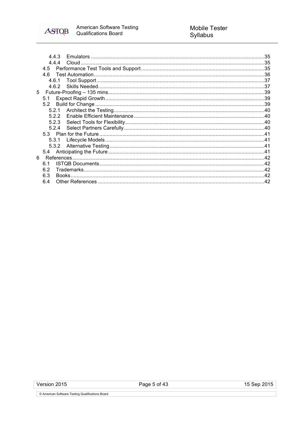

|   | 4.4.3          |              |  |
|---|----------------|--------------|--|
|   | 444            |              |  |
|   | 4.5            |              |  |
|   | 4.6            |              |  |
|   | 4.6.1          |              |  |
|   | 4.6.2          |              |  |
| 5 |                |              |  |
|   | 5.1            |              |  |
|   | 5.2            |              |  |
|   |                |              |  |
|   | 5.2.2          |              |  |
|   | 5.2.3          |              |  |
|   | 5.2.4          |              |  |
|   |                |              |  |
|   | 5.3.1          |              |  |
|   | 5.3.2          |              |  |
|   |                |              |  |
| 6 |                |              |  |
|   | 6 <sup>1</sup> |              |  |
|   | 6.2            |              |  |
|   | 6.3            | <b>Books</b> |  |
|   | 6.4            |              |  |
|   |                |              |  |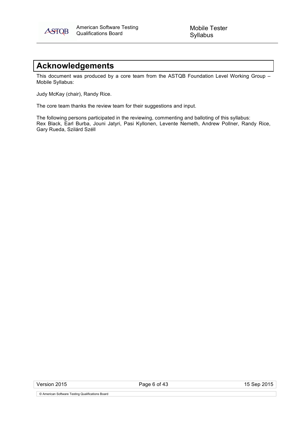

Mobile Tester Syllabus

## **Acknowledgements**

This document was produced by a core team from the ASTQB Foundation Level Working Group – Mobile Syllabus:

Judy McKay (chair), Randy Rice.

The core team thanks the review team for their suggestions and input.

The following persons participated in the reviewing, commenting and balloting of this syllabus: Rex Black, Earl Burba, Jouni Jatyri, Pasi Kyllonen, Levente Nemeth, Andrew Pollner, Randy Rice, Gary Rueda, Szilárd Széll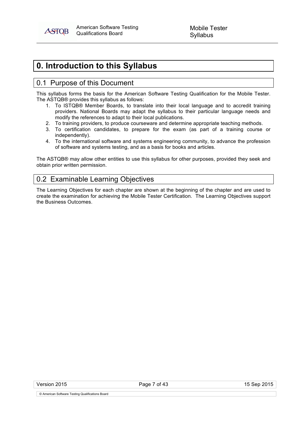**ASTOB** 

## **0. Introduction to this Syllabus**

## 0.1 Purpose of this Document

This syllabus forms the basis for the American Software Testing Qualification for the Mobile Tester. The ASTQB® provides this syllabus as follows:

- 1. To ISTQB® Member Boards, to translate into their local language and to accredit training providers. National Boards may adapt the syllabus to their particular language needs and modify the references to adapt to their local publications.
- 2. To training providers, to produce courseware and determine appropriate teaching methods.
- 3. To certification candidates, to prepare for the exam (as part of a training course or independently).
- 4. To the international software and systems engineering community, to advance the profession of software and systems testing, and as a basis for books and articles.

The ASTQB® may allow other entities to use this syllabus for other purposes, provided they seek and obtain prior written permission.

## 0.2 Examinable Learning Objectives

The Learning Objectives for each chapter are shown at the beginning of the chapter and are used to create the examination for achieving the Mobile Tester Certification. The Learning Objectives support the Business Outcomes.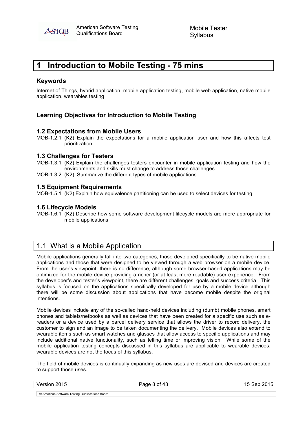

## **1 Introduction to Mobile Testing - 75 mins**

## **Keywords**

Internet of Things, hybrid application, mobile application testing, mobile web application, native mobile application, wearables testing

## **Learning Objectives for Introduction to Mobile Testing**

## **1.2 Expectations from Mobile Users**

MOB-1.2.1 (K2) Explain the expectations for a mobile application user and how this affects test prioritization

#### **1.3 Challenges for Testers**

MOB-1.3.1 (K2) Explain the challenges testers encounter in mobile application testing and how the environments and skills must change to address those challenges

MOB-1.3.2 (K2) Summarize the different types of mobile applications

#### **1.5 Equipment Requirements**

MOB-1.5.1 (K2) Explain how equivalence partitioning can be used to select devices for testing

#### **1.6 Lifecycle Models**

MOB-1.6.1 (K2) Describe how some software development lifecycle models are more appropriate for mobile applications

## 1.1 What is a Mobile Application

Mobile applications generally fall into two categories, those developed specifically to be native mobile applications and those that were designed to be viewed through a web browser on a mobile device. From the user's viewpoint, there is no difference, although some browser-based applications may be optimized for the mobile device providing a richer (or at least more readable) user experience. From the developer's and tester's viewpoint, there are different challenges, goals and success criteria. This syllabus is focused on the applications specifically developed for use by a mobile device although there will be some discussion about applications that have become mobile despite the original intentions.

Mobile devices include any of the so-called hand-held devices including (dumb) mobile phones, smart phones and tablets/netbooks as well as devices that have been created for a specific use such as ereaders or a device used by a parcel delivery service that allows the driver to record delivery, the customer to sign and an image to be taken documenting the delivery. Mobile devices also extend to wearable items such as smart watches and glasses that allow access to specific applications and may include additional native functionality, such as telling time or improving vision. While some of the mobile application testing concepts discussed in this syllabus are applicable to wearable devices, wearable devices are not the focus of this syllabus.

The field of mobile devices is continually expanding as new uses are devised and devices are created to support those uses.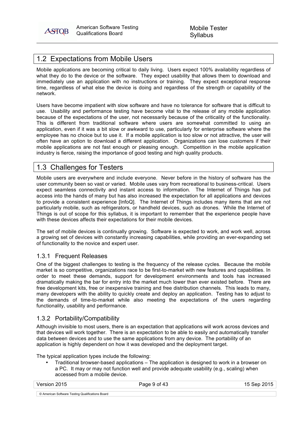

## 1.2 Expectations from Mobile Users

Mobile applications are becoming critical to daily living. Users expect 100% availability regardless of what they do to the device or the software. They expect usability that allows them to download and immediately use an application with no instructions or training. They expect exceptional response time, regardless of what else the device is doing and regardless of the strength or capability of the network.

Users have become impatient with slow software and have no tolerance for software that is difficult to use. Usability and performance testing have become vital to the release of any mobile application because of the expectations of the user, not necessarily because of the criticality of the functionality. This is different from traditional software where users are somewhat committed to using an application, even if it was a bit slow or awkward to use, particularly for enterprise software where the employee has no choice but to use it. If a mobile application is too slow or not attractive, the user will often have an option to download a different application. Organizations can lose customers if their mobile applications are not fast enough or pleasing enough. Competition in the mobile application industry is fierce, raising the importance of good testing and high quality products.

## 1.3 Challenges for Testers

Mobile users are everywhere and include everyone. Never before in the history of software has the user community been so vast or varied. Mobile uses vary from recreational to business-critical. Users expect seamless connectivity and instant access to information. The Internet of Things has put access into the hands of many but has also increased the expectation for all applications and devices to provide a consistent experience [InfoQ]. The Internet of Things includes many items that are not particularly mobile, such as refrigerators, or handheld devices, such as drones. While the Internet of Things is out of scope for this syllabus, it is important to remember that the experience people have with these devices affects their expectations for their mobile devices.

The set of mobile devices is continually growing. Software is expected to work, and work well, across a growing set of devices with constantly increasing capabilities, while providing an ever-expanding set of functionality to the novice and expert user.

## 1.3.1 Frequent Releases

One of the biggest challenges to testing is the frequency of the release cycles. Because the mobile market is so competitive, organizations race to be first-to-market with new features and capabilities. In order to meet these demands, support for development environments and tools has increased dramatically making the bar for entry into the market much lower than ever existed before. There are free development kits, free or inexpensive training and free distribution channels. This leads to many, many developers with the ability to quickly create and deploy an application. Testing has to adjust to the demands of time-to-market while also meeting the expectations of the users regarding functionality, usability and performance.

## 1.3.2 Portability/Compatibility

Although invisible to most users, there is an expectation that applications will work across devices and that devices will work together. There is an expectation to be able to easily and automatically transfer data between devices and to use the same applications from any device. The portability of an application is highly dependent on how it was developed and the deployment target.

The typical application types include the following:

• Traditional browser-based applications – The application is designed to work in a browser on a PC. It may or may not function well and provide adequate usability (e.g., scaling) when accessed from a mobile device.

Version 2015 Page 9 of 43 15 Sep 2015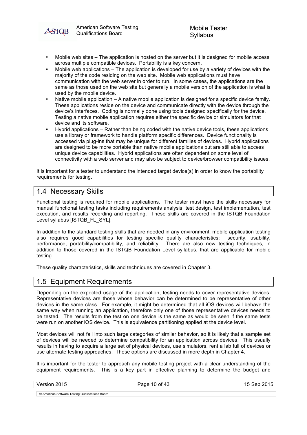- Mobile web sites The application is hosted on the server but it is designed for mobile access across multiple compatible devices. Portability is a key concern.
- Mobile web applications The application is developed for use by a variety of devices with the majority of the code residing on the web site. Mobile web applications must have communication with the web server in order to run. In some cases, the applications are the same as those used on the web site but generally a mobile version of the application is what is used by the mobile device.
- Native mobile application A native mobile application is designed for a specific device family. These applications reside on the device and communicate directly with the device through the device's interfaces. Coding is normally done using tools designed specifically for the device. Testing a native mobile application requires either the specific device or simulators for that device and its software.
- Hybrid applications Rather than being coded with the native device tools, these applications use a library or framework to handle platform specific differences. Device functionality is accessed via plug-ins that may be unique for different families of devices. Hybrid applications are designed to be more portable than native mobile applications but are still able to access unique device capabilities. Hybrid applications are often dependent on some level of connectivity with a web server and may also be subject to device/browser compatibility issues.

It is important for a tester to understand the intended target device(s) in order to know the portability requirements for testing.

## 1.4 Necessary Skills

**ASTOB** 

Functional testing is required for mobile applications. The tester must have the skills necessary for manual functional testing tasks including requirements analysis, test design, test implementation, test execution, and results recording and reporting. These skills are covered in the ISTQB Foundation Level syllabus [ISTQB\_FL\_SYL].

In addition to the standard testing skills that are needed in any environment, mobile application testing also requires good capabilities for testing specific quality characteristics: security, usability, performance, portability/compatibility, and reliability. There are also new testing techniques. in addition to those covered in the ISTQB Foundation Level syllabus, that are applicable for mobile testing.

These quality characteristics, skills and techniques are covered in Chapter 3.

## 1.5 Equipment Requirements

Depending on the expected usage of the application, testing needs to cover representative devices. Representative devices are those whose behavior can be determined to be representative of other devices in the same class. For example, it might be determined that all iOS devices will behave the same way when running an application, therefore only one of those representative devices needs to be tested. The results from the test on one device is the same as would be seen if the same tests were run on another iOS device. This is equivalence partitioning applied at the device level.

Most devices will not fall into such large categories of similar behavior, so it is likely that a sample set of devices will be needed to determine compatibility for an application across devices. This usually results in having to acquire a large set of physical devices, use simulators, rent a lab full of devices or use alternate testing approaches. These options are discussed in more depth in Chapter 4.

It is important for the tester to approach any mobile testing project with a clear understanding of the equipment requirements. This is a key part in effective planning to determine the budget and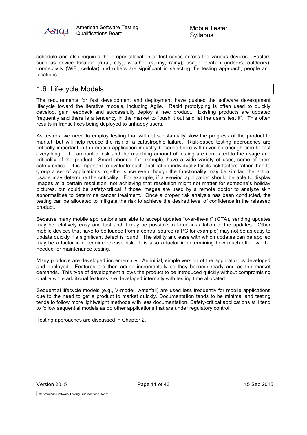

Mobile Tester Syllabus

schedule and also requires the proper allocation of test cases across the various devices. Factors such as device location (rural, city), weather (sunny, rainy), usage location (indoors, outdoors), connectivity (WiFi, cellular) and others are significant in selecting the testing approach, people and locations.

## 1.6 Lifecycle Models

The requirements for fast development and deployment have pushed the software development lifecycle toward the iterative models, including Agile. Rapid prototyping is often used to quickly develop, gain feedback and successfully deploy a new product. Existing products are updated frequently and there is a tendency in the market to "push it out and let the users test it". This often results in frantic fixes being deployed to unhappy users.

As testers, we need to employ testing that will not substantially slow the progress of the product to market, but will help reduce the risk of a catastrophic failure. Risk-based testing approaches are critically important in the mobile application industry because there will never be enough time to test everything. The amount of risk and the matching amount of testing are correlated to the usage and criticality of the product. Smart phones, for example, have a wide variety of uses, some of them safety-critical. It is important to evaluate each application individually for its risk factors rather than to group a set of applications together since even though the functionality may be similar, the actual usage may determine the criticality. For example, if a viewing application should be able to display images at a certain resolution, not achieving that resolution might not matter for someone's holiday pictures, but could be safety-critical if those images are used by a remote doctor to analyze skin abnormalities to determine cancer treatment. Once a proper risk analysis has been conducted, the testing can be allocated to mitigate the risk to achieve the desired level of confidence in the released product.

Because many mobile applications are able to accept updates "over-the-air" (OTA), sending updates may be relatively easy and fast and it may be possible to force installation of the updates. Other mobile devices that have to be loaded from a central source (a PC for example) may not be as easy to update quickly if a significant defect is found. The ability and ease with which updates can be applied may be a factor in determine release risk. It is also a factor in determining how much effort will be needed for maintenance testing.

Many products are developed incrementally. An initial, simple version of the application is developed and deployed. Features are then added incrementally as they become ready and as the market demands. This type of development allows the product to be introduced quickly without compromising quality while additional features are developed internally with testing time allocated.

Sequential lifecycle models (e.g., V-model, waterfall) are used less frequently for mobile applications due to the need to get a product to market quickly. Documentation tends to be minimal and testing tends to follow more lightweight methods with less documentation. Safety-critical applications still tend to follow sequential models as do other applications that are under regulatory control.

Testing approaches are discussed in Chapter 2.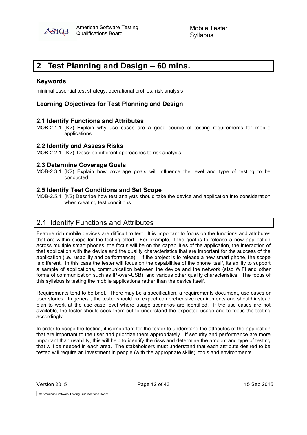

## **2 Test Planning and Design – 60 mins.**

#### **Keywords**

minimal essential test strategy, operational profiles, risk analysis

## **Learning Objectives for Test Planning and Design**

#### **2.1 Identify Functions and Attributes**

MOB-2.1.1 (K2) Explain why use cases are a good source of testing requirements for mobile applications

#### **2.2 Identify and Assess Risks**

MOB-2.2.1 (K2) Describe different approaches to risk analysis

#### **2.3 Determine Coverage Goals**

MOB-2.3.1 (K2) Explain how coverage goals will influence the level and type of testing to be conducted

#### **2.5 Identify Test Conditions and Set Scope**

MOB-2.5.1 (K2) Describe how test analysts should take the device and application into consideration when creating test conditions

## 2.1 Identify Functions and Attributes

Feature rich mobile devices are difficult to test. It is important to focus on the functions and attributes that are within scope for the testing effort. For example, if the goal is to release a new application across multiple smart phones, the focus will be on the capabilities of the application, the interaction of that application with the device and the quality characteristics that are important for the success of the application (i.e., usability and performance). If the project is to release a new smart phone, the scope is different. In this case the tester will focus on the capabilities of the phone itself, its ability to support a sample of applications, communication between the device and the network (also WiFi and other forms of communication such as IP-over-USB), and various other quality characteristics. The focus of this syllabus is testing the mobile applications rather than the device itself.

Requirements tend to be brief. There may be a specification, a requirements document, use cases or user stories. In general, the tester should not expect comprehensive requirements and should instead plan to work at the use case level where usage scenarios are identified. If the use cases are not available, the tester should seek them out to understand the expected usage and to focus the testing accordingly.

In order to scope the testing, it is important for the tester to understand the attributes of the application that are important to the user and prioritize them appropriately. If security and performance are more important than usability, this will help to identify the risks and determine the amount and type of testing that will be needed in each area. The stakeholders must understand that each attribute desired to be tested will require an investment in people (with the appropriate skills), tools and environments.

Version 2015 **Page 12 of 43** Page 12 of 43 15 Sep 2015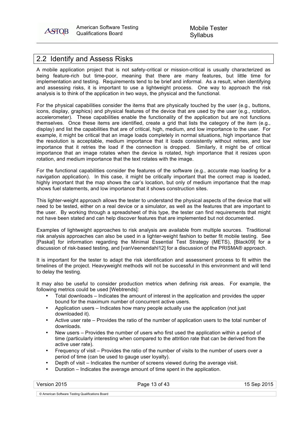

## 2.2 Identify and Assess Risks

A mobile application project that is not safety-critical or mission-critical is usually characterized as being feature-rich but time-poor, meaning that there are many features, but little time for implementation and testing. Requirements tend to be brief and informal. As a result, when identifying and assessing risks, it is important to use a lightweight process. One way to approach the risk analysis is to think of the application in two ways, the physical and the functional.

For the physical capabilities consider the items that are physically touched by the user (e.g., buttons, icons, display, graphics) and physical features of the device that are used by the user (e.g., rotation, accelerometer). These capabilities enable the functionality of the application but are not functions themselves. Once these items are identified, create a grid that lists the category of the item (e.g., display) and list the capabilities that are of critical, high, medium, and low importance to the user. For example, it might be critical that an image loads completely in normal situations, high importance that the resolution is acceptable, medium importance that it loads consistently without retries, and low importance that it retries the load if the connection is dropped. Similarly, it might be of critical importance that an image rotates when the device is rotated, high importance that it resizes upon rotation, and medium importance that the text rotates with the image.

For the functional capabilities consider the features of the software (e.g., accurate map loading for a navigation application). In this case, it might be critically important that the correct map is loaded, highly important that the map shows the car's location, but only of medium importance that the map shows fuel statements, and low importance that it shows construction sites.

This lighter-weight approach allows the tester to understand the physical aspects of the device that will need to be tested, either on a real device or a simulator, as well as the features that are important to the user. By working through a spreadsheet of this type, the tester can find requirements that might not have been stated and can help discover features that are implemented but not documented.

Examples of lightweight approaches to risk analysis are available from multiple sources. Traditional risk analysis approaches can also be used in a lighter-weight fashion to better fit mobile testing. See [Paskal] for information regarding the Minimal Essential Test Strategy (METS), [Black09] for a discussion of risk-based testing, and [vanVeenendahl12] for a discussion of the PRISMA® approach.

It is important for the tester to adapt the risk identification and assessment process to fit within the timelines of the project. Heavyweight methods will not be successful in this environment and will tend to delay the testing.

It may also be useful to consider production metrics when defining risk areas. For example, the following metrics could be used [Webtrends]:

- Total downloads Indicates the amount of interest in the application and provides the upper bound for the maximum number of concurrent active users.
- Application users Indicates how many people actually use the application (not just downloaded it).
- Active user rate Provides the ratio of the number of application users to the total number of downloads.
- New users Provides the number of users who first used the application within a period of time (particularly interesting when compared to the attrition rate that can be derived from the active user rate).
- Frequency of visit Provides the ratio of the number of visits to the number of users over a period of time (can be used to gauge user loyalty).
- Depth of visit Indicates the number of screens viewed during the average visit.
- Duration Indicates the average amount of time spent in the application.

Version 2015 **Page 13 of 43** 15 Sep 2015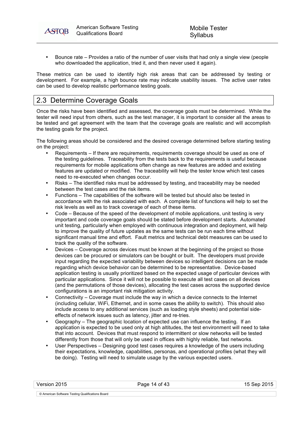• Bounce rate – Provides a ratio of the number of user visits that had only a single view (people who downloaded the application, tried it, and then never used it again).

These metrics can be used to identify high risk areas that can be addressed by testing or development. For example, a high bounce rate may indicate usability issues. The active user rates can be used to develop realistic performance testing goals.

## 2.3 Determine Coverage Goals

**ASTOB** 

Once the risks have been identified and assessed, the coverage goals must be determined. While the tester will need input from others, such as the test manager, it is important to consider all the areas to be tested and get agreement with the team that the coverage goals are realistic and will accomplish the testing goals for the project.

The following areas should be considered and the desired coverage determined before starting testing on the project:

- Requirements If there are requirements, requirements coverage should be used as one of the testing guidelines. Traceability from the tests back to the requirements is useful because requirements for mobile applications often change as new features are added and existing features are updated or modified. The traceability will help the tester know which test cases need to re-executed when changes occur.
- Risks The identified risks must be addressed by testing, and traceability may be needed between the test cases and the risk items.
- Functions The capabilities of the software will be tested but should also be tested in accordance with the risk associated with each. A complete list of functions will help to set the risk levels as well as to track coverage of each of these items.
- Code Because of the speed of the development of mobile applications, unit testing is very important and code coverage goals should be stated before development starts. Automated unit testing, particularly when employed with continuous integration and deployment, will help to improve the quality of future updates as the same tests can be run each time without significant manual time and effort. Fault metrics and technical debt measures can be used to track the quality of the software.
- Devices Coverage across devices must be known at the beginning of the project so those devices can be procured or simulators can be bought or built. The developers must provide input regarding the expected variability between devices so intelligent decisions can be made regarding which device behavior can be determined to be representative. Device-based application testing is usually prioritized based on the expected usage of particular devices with particular applications. Since it will not be possible to execute all test cases on all devices (and the permutations of those devices), allocating the test cases across the supported device configurations is an important risk mitigation activity.
- Connectivity Coverage must include the way in which a device connects to the Internet (including cellular, WiFi, Ethernet, and in some cases the ability to switch). This should also include access to any additional services (such as loading style sheets) and potential sideeffects of network issues such as latency, jitter and re-tries.
- Geography The geographic location of expected use can influence the testing. If an application is expected to be used only at high altitudes, the test environment will need to take that into account. Devices that must respond to intermittent or slow networks will be tested differently from those that will only be used in offices with highly reliable, fast networks.
- User Perspectives Designing good test cases requires a knowledge of the users including their expectations, knowledge, capabilities, personas, and operational profiles (what they will be doing). Testing will need to simulate usage by the various expected users.

| Version 2015                                     | age 14 of 43 |  |
|--------------------------------------------------|--------------|--|
| © American Software Testing Qualifications Board |              |  |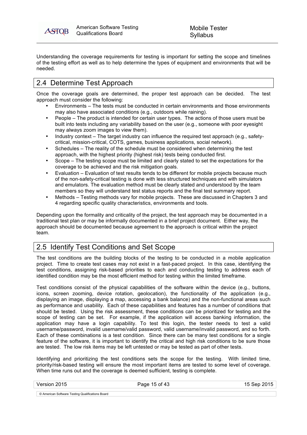ASTOB

Understanding the coverage requirements for testing is important for setting the scope and timelines of the testing effort as well as to help determine the types of equipment and environments that will be needed.

## 2.4 Determine Test Approach

Once the coverage goals are determined, the proper test approach can be decided. The test approach must consider the following:

- Environments The tests must be conducted in certain environments and those environments may also have associated conditions (e.g., outdoors while raining).
- People The product is intended for certain user types. The actions of those users must be built into tests including any variability based on the user (e.g., someone with poor eyesight may always zoom images to view them).
- Industry context The target industry can influence the required test approach (e.g., safetycritical, mission-critical, COTS, games, business applications, social network).
- Schedules The reality of the schedule must be considered when determining the test approach, with the highest priority (highest risk) tests being conducted first.
- Scope The testing scope must be limited and clearly stated to set the expectations for the coverage to be achieved and the risk mitigation goals.
- Evaluation Evaluation of test results tends to be different for mobile projects because much of the non-safety-critical testing is done with less structured techniques and with simulators and emulators. The evaluation method must be clearly stated and understood by the team members so they will understand test status reports and the final test summary report.
- Methods Testing methods vary for mobile projects. These are discussed in Chapters 3 and 4 regarding specific quality characteristics, environments and tools.

Depending upon the formality and criticality of the project, the test approach may be documented in a traditional test plan or may be informally documented in a brief project document. Either way, the approach should be documented because agreement to the approach is critical within the project team.

## 2.5 Identify Test Conditions and Set Scope

The test conditions are the building blocks of the testing to be conducted in a mobile application project. Time to create test cases may not exist in a fast-paced project. In this case, identifying the test conditions, assigning risk-based priorities to each and conducting testing to address each of identified condition may be the most efficient method for testing within the limited timeframe.

Test conditions consist of the physical capabilities of the software within the device (e.g., buttons, icons, screen zooming, device rotation, geolocation), the functionality of the application (e.g., displaying an image, displaying a map, accessing a bank balance) and the non-functional areas such as performance and usability. Each of these capabilities and features has a number of conditions that should be tested. Using the risk assessment, these conditions can be prioritized for testing and the scope of testing can be set. For example, if the application will access banking information, the application may have a login capability. To test this login, the tester needs to test a valid username/password, invalid username/valid password, valid username/invalid password, and so forth. Each of these combinations is a test condition. Since there can be many test conditions for a single feature of the software, it is important to identify the critical and high risk conditions to be sure those are tested. The low risk items may be left untested or may be tested as part of other tests.

Identifying and prioritizing the test conditions sets the scope for the testing. With limited time, priority/risk-based testing will ensure the most important items are tested to some level of coverage. When time runs out and the coverage is deemed sufficient, testing is complete.

Version 2015 Page 15 of 43 15 Sep 2015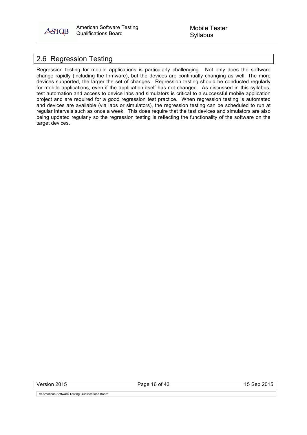

## 2.6 Regression Testing

Regression testing for mobile applications is particularly challenging. Not only does the software change rapidly (including the firmware), but the devices are continually changing as well. The more devices supported, the larger the set of changes. Regression testing should be conducted regularly for mobile applications, even if the application itself has not changed. As discussed in this syllabus, test automation and access to device labs and simulators is critical to a successful mobile application project and are required for a good regression test practice. When regression testing is automated and devices are available (via labs or simulators), the regression testing can be scheduled to run at regular intervals such as once a week. This does require that the test devices and simulators are also being updated regularly so the regression testing is reflecting the functionality of the software on the target devices.

Version 2015 Page 16 of 43 15 Sep 2015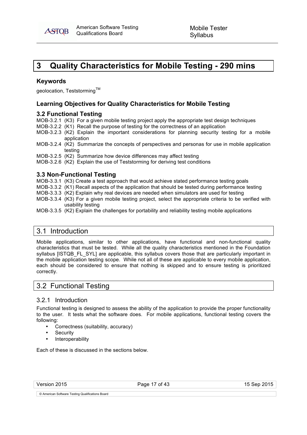

## **3 Quality Characteristics for Mobile Testing - 290 mins**

#### **Keywords**

geolocation, Teststorming<sup>™</sup>

## **Learning Objectives for Quality Characteristics for Mobile Testing**

## **3.2 Functional Testing**

MOB-3.2.1 (K3) For a given mobile testing project apply the appropriate test design techniques

- MOB-3.2.2 (K1) Recall the purpose of testing for the correctness of an application
- MOB-3.2.3 (K2) Explain the important considerations for planning security testing for a mobile application
- MOB-3.2.4 (K2) Summarize the concepts of perspectives and personas for use in mobile application testing

MOB-3.2.5 (K2) Summarize how device differences may affect testing

MOB-3.2.6 (K2) Explain the use of Teststorming for deriving test conditions

## **3.3 Non-Functional Testing**

MOB-3.3.1 (K3) Create a test approach that would achieve stated performance testing goals

- MOB-3.3.2 (K1) Recall aspects of the application that should be tested during performance testing
- MOB-3.3.3 (K2) Explain why real devices are needed when simulators are used for testing
- MOB-3.3.4 (K3) For a given mobile testing project, select the appropriate criteria to be verified with usability testing
- MOB-3.3.5 (K2) Explain the challenges for portability and reliability testing mobile applications

## 3.1 Introduction

Mobile applications, similar to other applications, have functional and non-functional quality characteristics that must be tested. While all the quality characteristics mentioned in the Foundation syllabus [ISTQB\_FL\_SYL] are applicable, this syllabus covers those that are particularly important in the mobile application testing scope. While not all of these are applicable to every mobile application, each should be considered to ensure that nothing is skipped and to ensure testing is prioritized correctly.

## 3.2 Functional Testing

## 3.2.1 Introduction

Functional testing is designed to assess the ability of the application to provide the proper functionality to the user. It tests what the software does. For mobile applications, functional testing covers the following:

- Correctness (suitability, accuracy)
- **Security**
- Interoperability

Each of these is discussed in the sections below.

|  | Version 2015 |  |
|--|--------------|--|
|--|--------------|--|

Page 17 of 43 15 Sep 2015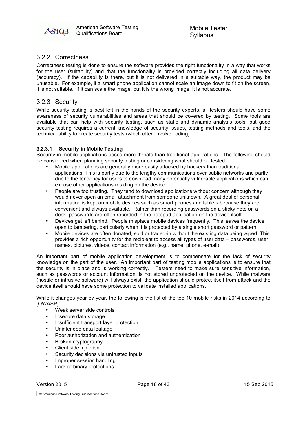## 3.2.2 Correctness

Correctness testing is done to ensure the software provides the right functionality in a way that works for the user (suitability) and that the functionality is provided correctly including all data delivery (accuracy). If the capability is there, but it is not delivered in a suitable way, the product may be unusable. For example, if a smart phone application cannot scale an image down to fit on the screen, it is not suitable. If it can scale the image, but it is the wrong image, it is not accurate.

## 3.2.3 Security

While security testing is best left in the hands of the security experts, all testers should have some awareness of security vulnerabilities and areas that should be covered by testing. Some tools are available that can help with security testing, such as static and dynamic analysis tools, but good security testing requires a current knowledge of security issues, testing methods and tools, and the technical ability to create security tests (which often involve coding).

#### **3.2.3.1 Security in Mobile Testing**

Security in mobile applications poses more threats than traditional applications. The following should be considered when planning security testing or considering what should be tested:

- Mobile applications are generally more easily attacked by hackers than traditional applications. This is partly due to the lengthy communications over public networks and partly due to the tendency for users to download many potentially vulnerable applications which can expose other applications residing on the device.
- People are too trusting. They tend to download applications without concern although they would never open an email attachment from someone unknown. A great deal of personal information is kept on mobile devices such as smart phones and tablets because they are convenient and always available. Rather than recording passwords on a sticky note on a desk, passwords are often recorded in the notepad application on the device itself.
- Devices get left behind. People misplace mobile devices frequently. This leaves the device open to tampering, particularly when it is protected by a single short password or pattern.
- Mobile devices are often donated, sold or traded-in without the existing data being wiped. This provides a rich opportunity for the recipient to access all types of user data – passwords, user names, pictures, videos, contact information (e.g., name, phone, e-mail).

An important part of mobile application development is to compensate for the lack of security knowledge on the part of the user. An important part of testing mobile applications is to ensure that the security is in place and is working correctly. Testers need to make sure sensitive information, such as passwords or account information, is not stored unprotected on the device. While malware (hostile or intrusive software) will always exist, the application should protect itself from attack and the device itself should have some protection to validate installed applications.

While it changes year by year, the following is the list of the top 10 mobile risks in 2014 according to [OWASP]:

- Weak server side controls
- Insecure data storage
- Insufficient transport layer protection
- Unintended data leakage
- Poor authorization and authentication
- Broken cryptography
- Client side injection
- Security decisions via untrusted inputs
- Improper session handling<br>• Lack of binary protections
- Lack of binary protections

Version 2015 **Page 18 of 43** Page 18 of 43 **Page 18 of 43** 15 Sep 2015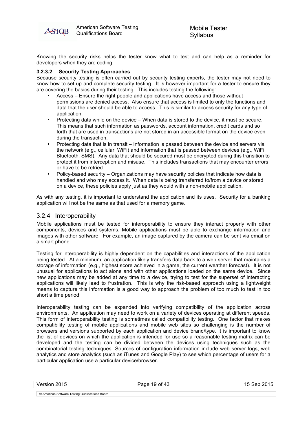

Knowing the security risks helps the tester know what to test and can help as a reminder for developers when they are coding.

#### **3.2.3.2 Security Testing Approaches**

Because security testing is often carried out by security testing experts, the tester may not need to know how to set up and complete security testing. It is however important for a tester to ensure they are covering the basics during their testing. This includes testing the following:

- Access Ensure the right people and applications have access and those without permissions are denied access. Also ensure that access is limited to only the functions and data that the user should be able to access. This is similar to access security for any type of application.
- Protecting data while on the device When data is stored to the device, it must be secure. This means that such information as passwords, account information, credit cards and so forth that are used in transactions are not stored in an accessible format on the device even during the transaction.
- Protecting data that is in transit Information is passed between the device and servers via the network (e.g., cellular, WiFi) and information that is passed between devices (e.g., WiFi, Bluetooth, SMS). Any data that should be secured must be encrypted during this transition to protect it from interception and misuse. This includes transactions that may encounter errors or have to be retried.
- Policy-based security Organizations may have security policies that indicate how data is handled and who may access it. When data is being transferred to/from a device or stored on a device, these policies apply just as they would with a non-mobile application.

As with any testing, it is important to understand the application and its uses. Security for a banking application will not be the same as that used for a memory game.

#### 3.2.4 Interoperability

Mobile applications must be tested for interoperability to ensure they interact properly with other components, devices and systems. Mobile applications must be able to exchange information and images with other software. For example, an image captured by the camera can be sent via email on a smart phone.

Testing for interoperability is highly dependent on the capabilities and interactions of the application being tested. At a minimum, an application likely transfers data back to a web server that maintains a storage of information (e.g., highest score achieved in a game, the current weather forecast). It is not unusual for applications to act alone and with other applications loaded on the same device. Since new applications may be added at any time to a device, trying to test for the superset of interacting applications will likely lead to frustration. This is why the risk-based approach using a lightweight means to capture this information is a good way to approach the problem of too much to test in too short a time period.

Interoperability testing can be expanded into verifying compatibility of the application across environments. An application may need to work on a variety of devices operating at different speeds. This form of interoperability testing is sometimes called compatibility testing. One factor that makes compatibility testing of mobile applications and mobile web sites so challenging is the number of browsers and versions supported by each application and device brand/type. It is important to know the list of devices on which the application is intended for use so a reasonable testing matrix can be developed and the testing can be divided between the devices using techniques such as the combinatorial testing techniques. Sources of configuration information include web server logs, web analytics and store analytics (such as iTunes and Google Play) to see which percentage of users for a particular application use a particular device/browser.

Version 2015 Page 19 of 43 15 Sep 2015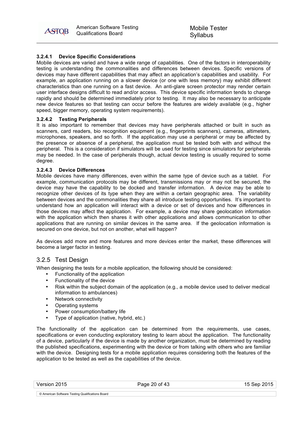American American Software Testing **ASTOB** Qualifications Board

Mobile Tester Syllabus

#### **3.2.4.1 Device Specific Considerations**

Mobile devices are varied and have a wide range of capabilities. One of the factors in interoperability testing is understanding the commonalities and differences between devices. Specific versions of devices may have different capabilities that may affect an application's capabilities and usability. For example, an application running on a slower device (or one with less memory) may exhibit different characteristics than one running on a fast device. An anti-glare screen protector may render certain user interface designs difficult to read and/or access. This device specific information tends to change rapidly and should be determined immediately prior to testing. It may also be necessary to anticipate new device features so that testing can occur before the features are widely available (e.g., higher speed, bigger memory, operating system requirements).

#### **3.2.4.2 Testing Peripherals**

It is also important to remember that devices may have peripherals attached or built in such as scanners, card readers, bio recognition equipment (e.g., fingerprints scanners), cameras, altimeters, microphones, speakers, and so forth. If the application may use a peripheral or may be affected by the presence or absence of a peripheral, the application must be tested both with and without the peripheral. This is a consideration if simulators will be used for testing since simulators for peripherals may be needed. In the case of peripherals though, actual device testing is usually required to some degree.

#### **3.2.4.3 Device Differences**

Mobile devices have many differences, even within the same type of device such as a tablet. For example, communication protocols may be different, transmissions may or may not be secured, the device may have the capability to be docked and transfer information. A device may be able to recognize other devices of its type when they are within a certain geographic area. The variability between devices and the commonalities they share all introduce testing opportunities. It's important to understand how an application will interact with a device or set of devices and how differences in those devices may affect the application. For example, a device may share geolocation information with the application which then shares it with other applications and allows communication to other applications that are running on similar devices in the same area. If the geolocation information is secured on one device, but not on another, what will happen?

As devices add more and more features and more devices enter the market, these differences will become a larger factor in testing.

#### 3.2.5 Test Design

When designing the tests for a mobile application, the following should be considered:

- Functionality of the application
- Functionality of the device
- Risk within the subject domain of the application (e.g., a mobile device used to deliver medical information to ambulances)
- Network connectivity
- Operating systems
- Power consumption/battery life
- Type of application (native, hybrid, etc.)

The functionality of the application can be determined from the requirements, use cases, specifications or even conducting exploratory testing to learn about the application. The functionality of a device, particularly if the device is made by another organization, must be determined by reading the published specifications, experimenting with the device or from talking with others who are familiar with the device. Designing tests for a mobile application requires considering both the features of the application to be tested as well as the capabilities of the device.

| Version 2015 | Page 20 of 43 | 15 Sep 2015 |
|--------------|---------------|-------------|
|              |               |             |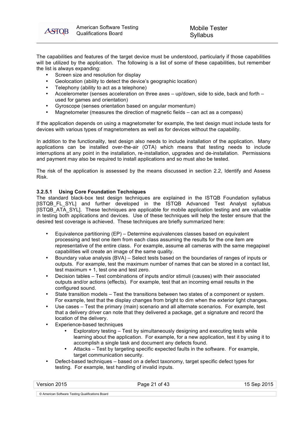

The capabilities and features of the target device must be understood, particularly if those capabilities will be utilized by the application. The following is a list of some of these capabilities, but remember the list is always expanding:

- Screen size and resolution for display
- Geolocation (ability to detect the device's geographic location)
- Telephony (ability to act as a telephone)
- Accelerometer (senses acceleration on three axes up/down, side to side, back and forth used for games and orientation)
- Gyroscope (senses orientation based on angular momentum)
- Magnetometer (measures the direction of magnetic fields can act as a compass)

If the application depends on using a magnetometer for example, the test design must include tests for devices with various types of magnetometers as well as for devices without the capability.

In addition to the functionality, test design also needs to include installation of the application. Many applications can be installed over-the-air (OTA) which means that testing needs to include interruptions at any point in the installation, re-installation, upgrades and de-installation. Permissions and payment may also be required to install applications and so must also be tested.

The risk of the application is assessed by the means discussed in section 2.2, Identify and Assess Risk.

#### **3.2.5.1 Using Core Foundation Techniques**

The standard black-box test design techniques are explained in the ISTQB Foundation syllabus [ISTQB\_FL\_SYL] and further developed in the ISTQB Advanced Test Analyst syllabus [ISTQB\_ATA\_SYL]. These techniques are applicable for mobile application testing and are valuable in testing both applications and devices. Use of these techniques will help the tester ensure that the desired test coverage is achieved. These techniques are briefly summarized here:

- Equivalence partitioning (EP) Determine equivalences classes based on equivalent processing and test one item from each class assuming the results for the one item are representative of the entire class. For example, assume all cameras with the same megapixel capabilities will create an image of the same quality.
- Boundary value analysis (BVA) Select tests based on the boundaries of ranges of inputs or outputs. For example, test the maximum number of names that can be stored in a contact list, test maximum + 1, test one and test zero.
- Decision tables Test combinations of inputs and/or stimuli (causes) with their associated outputs and/or actions (effects). For example, test that an incoming email results in the configured sound.
- State transition models Test the transitions between two states of a component or system. For example, test that the display changes from bright to dim when the exterior light changes.
- Use cases Test the primary (main) scenario and all alternate scenarios. For example, test that a delivery driver can note that they delivered a package, get a signature and record the location of the delivery.
- Experience-based techniques
	- Exploratory testing Test by simultaneously designing and executing tests while learning about the application. For example, for a new application, test it by using it to accomplish a single task and document any defects found.
	- Attacks Test by targeting specific expected faults in the software. For example, target communication security.
- Defect-based techniques based on a defect taxonomy, target specific defect types for testing. For example, test handling of invalid inputs.

| Version 2015                                     | Page 21 of 43 | 15 Sep 2015 |
|--------------------------------------------------|---------------|-------------|
|                                                  |               |             |
| © American Software Testing Qualifications Board |               |             |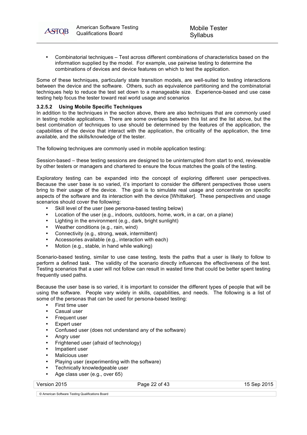

• Combinatorial techniques – Test across different combinations of characteristics based on the information supplied by the model. For example, use pairwise testing to determine the combinations of devices and device features on which to test the application.

Some of these techniques, particularly state transition models, are well-suited to testing interactions between the device and the software. Others, such as equivalence partitioning and the combinatorial techniques help to reduce the test set down to a manageable size. Experience-based and use case testing help focus the tester toward real world usage and scenarios

#### **3.2.5.2 Using Mobile Specific Techniques**

In addition to the techniques in the section above, there are also techniques that are commonly used in testing mobile applications. There are some overlaps between this list and the list above, but the best combination of techniques to use should be determined by the features of the application, the capabilities of the device that interact with the application, the criticality of the application, the time available, and the skills/knowledge of the tester.

The following techniques are commonly used in mobile application testing:

Session-based – these testing sessions are designed to be uninterrupted from start to end, reviewable by other testers or managers and chartered to ensure the focus matches the goals of the testing.

Exploratory testing can be expanded into the concept of exploring different user perspectives. Because the user base is so varied, it's important to consider the different perspectives those users bring to their usage of the device. The goal is to simulate real usage and concentrate on specific aspects of the software and its interaction with the device [Whittaker]. These perspectives and usage scenarios should cover the following:

- Skill level of the user (see persona-based testing below)
- Location of the user (e.g., indoors, outdoors, home, work, in a car, on a plane)
- Lighting in the environment (e.g., dark, bright sunlight)
- Weather conditions (e.g., rain, wind)
- Connectivity (e.g., strong, weak, intermittent)
- Accessories available (e.g., interaction with each)
- Motion (e.g., stable, in hand while walking)

Scenario-based testing, similar to use case testing, tests the paths that a user is likely to follow to perform a defined task. The validity of the scenario directly influences the effectiveness of the test. Testing scenarios that a user will not follow can result in wasted time that could be better spent testing frequently used paths.

Because the user base is so varied, it is important to consider the different types of people that will be using the software. People vary widely in skills, capabilities, and needs. The following is a list of some of the personas that can be used for persona-based testing:

- First time user
- Casual user
- Frequent user
- Expert user
- Confused user (does not understand any of the software)
- Angry user
- Frightened user (afraid of technology)
- Impatient user
- Malicious user
- Playing user (experimenting with the software)
- Technically knowledgeable user
- Age class user (e.g., over 65)

Version 2015 **Page 22 of 43** Page 22 of 43 15 Sep 2015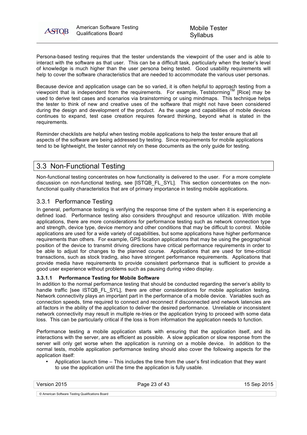

Persona-based testing requires that the tester understands the viewpoint of the user and is able to interact with the software as that user. This can be a difficult task, particularly when the tester's level of knowledge is much higher than the user persona being tested. Good usability requirements will help to cover the software characteristics that are needed to accommodate the various user personas.

Because device and application usage can be so varied, it is often helpful to approach testing from a viewpoint that is independent from the requirements. For example, Teststorming<sup>TM</sup> [Rice] may be used to derive test cases and scenarios via brainstorming or using mindmaps. This technique helps the tester to think of new and creative uses of the software that might not have been considered during the design and development of the product. As the usage and capabilities of mobile devices continues to expand, test case creation requires forward thinking, beyond what is stated in the requirements.

Reminder checklists are helpful when testing mobile applications to help the tester ensure that all aspects of the software are being addressed by testing. Since requirements for mobile applications tend to be lightweight, the tester cannot rely on these documents as the only guide for testing.

## 3.3 Non-Functional Testing

Non-functional testing concentrates on how functionality is delivered to the user. For a more complete discussion on non-functional testing, see [ISTQB\_FL\_SYL]. This section concentrates on the nonfunctional quality characteristics that are of primary importance in testing mobile applications.

## 3.3.1 Performance Testing

In general, performance testing is verifying the response time of the system when it is experiencing a defined load. Performance testing also considers throughput and resource utilization. With mobile applications, there are more considerations for performance testing such as network connection type and strength, device type, device memory and other conditions that may be difficult to control. Mobile applications are used for a wide variety of capabilities, but some applications have higher performance requirements than others. For example, GPS location applications that may be using the geographical position of the device to transmit driving directions have critical performance requirements in order to be able to adjust for changes to the planned course. Applications that are used for time-critical transactions, such as stock trading, also have stringent performance requirements. Applications that provide media have requirements to provide consistent performance that is sufficient to provide a good user experience without problems such as pausing during video display.

## **3.3.1.1 Performance Testing for Mobile Software**

In addition to the normal performance testing that should be conducted regarding the server's ability to handle traffic [see ISTQB\_FL\_SYL], there are other considerations for mobile application testing. Network connectivity plays an important part in the performance of a mobile device. Variables such as connection speeds, time required to connect and reconnect if disconnected and network latencies are all factors in the ability of the application to deliver the desired performance. Unreliable or inconsistent network connectivity may result in multiple re-tries or the application trying to proceed with some data loss. This can be particularly critical if the loss is from information the application needs to function.

Performance testing a mobile application starts with ensuring that the application itself, and its interactions with the server, are as efficient as possible. A slow application or slow response from the server will only get worse when the application is running on a mobile device. In addition to the normal tests, mobile application performance testing should also cover the following aspects for the application itself:

• Application launch time – This includes the time from the user's first indication that they want to use the application until the time the application is fully usable.

Version 2015 Page 23 of 43 15 Sep 2015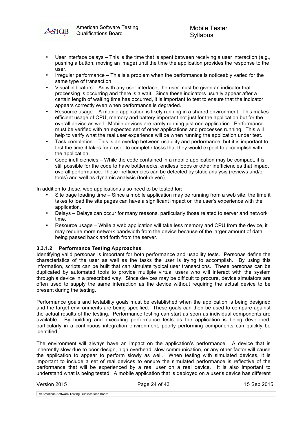**ASTOB** 

- User interface delays This is the time that is spent between receiving a user interaction (e.g., pushing a button, moving an image) until the time the application provides the response to the user.
- Irregular performance This is a problem when the performance is noticeably varied for the same type of transaction.
- Visual indicators As with any user interface, the user must be given an indicator that processing is occurring and there is a wait. Since these indicators usually appear after a certain length of waiting time has occurred, it is important to test to ensure that the indicator appears correctly even when performance is degraded.
- Resource usage A mobile application is likely running in a shared environment. This makes efficient usage of CPU, memory and battery important not just for the application but for the overall device as well. Mobile devices are rarely running just one application. Performance must be verified with an expected set of other applications and processes running. This will help to verify what the real user experience will be when running the application under test.
- Task completion This is an overlap between usability and performance, but it is important to test the time it takes for a user to complete tasks that they would expect to accomplish with the application.
- Code inefficiencies While the code contained in a mobile application may be compact, it is still possible for the code to have bottlenecks, endless loops or other inefficiencies that impact overall performance. These inefficiencies can be detected by static analysis (reviews and/or tools) and well as dynamic analysis (tool-driven).

In addition to these, web applications also need to be tested for:

- Site page loading time Since a mobile application may be running from a web site, the time it takes to load the site pages can have a significant impact on the user's experience with the application.
- Delays Delays can occur for many reasons, particularly those related to server and network time.
- Resource usage While a web application will take less memory and CPU from the device, it may require more network bandwidth from the device because of the larger amount of data being passed back and forth from the server.

#### **3.3.1.2 Performance Testing Approaches**

Identifying valid personas is important for both performance and usability tests. Personas define the characteristics of the user as well as the tasks the user is trying to accomplish. By using this information, scripts can be built that can simulate typical user transactions. These personas can be duplicated by automated tools to provide multiple virtual users who will interact with the system through a device in a prescribed way. Since devices may be difficult to procure, device simulators are often used to supply the same interaction as the device without requiring the actual device to be present during the testing.

Performance goals and testability goals must be established when the application is being designed and the target environments are being specified. These goals can then be used to compare against the actual results of the testing. Performance testing can start as soon as individual components are available. By building and executing performance tests as the application is being developed, particularly in a continuous integration environment, poorly performing components can quickly be identified.

The environment will always have an impact on the application's performance. A device that is inherently slow due to poor design, high overhead, slow communication, or any other factor will cause the application to appear to perform slowly as well. When testing with simulated devices, it is important to include a set of real devices to ensure the simulated performance is reflective of the performance that will be experienced by a real user on a real device. It is also important to understand what is being tested. A mobile application that is deployed on a user's device has different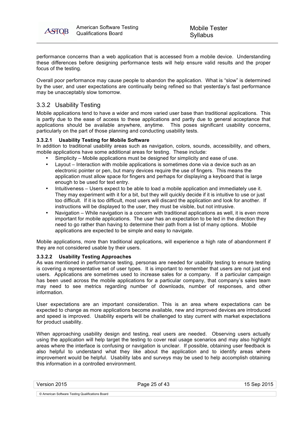

performance concerns than a web application that is accessed from a mobile device. Understanding these differences before designing performance tests will help ensure valid results and the proper focus of the testing.

Overall poor performance may cause people to abandon the application. What is "slow" is determined by the user, and user expectations are continually being refined so that yesterday's fast performance may be unacceptably slow tomorrow.

## 3.3.2 Usability Testing

Mobile applications tend to have a wider and more varied user base than traditional applications. This is partly due to the ease of access to these applications and partly due to general acceptance that applications should be available anywhere, anytime. This poses significant usability concerns, particularly on the part of those planning and conducting usability tests.

#### **3.3.2.1 Usability Testing for Mobile Software**

In addition to traditional usability areas such as navigation, colors, sounds, accessibility, and others, mobile applications have some additional areas for testing. These include:

- Simplicity Mobile applications must be designed for simplicity and ease of use.<br>• Layout Interaction with mobile applications is sometimes done via a device suc
- Layout Interaction with mobile applications is sometimes done via a device such as an electronic pointer or pen, but many devices require the use of fingers. This means the application must allow space for fingers and perhaps for displaying a keyboard that is large enough to be used for text entry.
- Intuitiveness Users expect to be able to load a mobile application and immediately use it. They may experiment with it for a bit, but they will quickly decide if it is intuitive to use or just too difficult. If it is too difficult, most users will discard the application and look for another. If instructions will be displayed to the user, they must be visible, but not intrusive.
- Navigation While navigation is a concern with traditional applications as well, it is even more important for mobile applications. The user has an expectation to be led in the direction they need to go rather than having to determine their path from a list of many options. Mobile applications are expected to be simple and easy to navigate.

Mobile applications, more than traditional applications, will experience a high rate of abandonment if they are not considered usable by their users.

#### **3.3.2.2 Usability Testing Approaches**

As was mentioned in performance testing, personas are needed for usability testing to ensure testing is covering a representative set of user types. It is important to remember that users are not just end users. Applications are sometimes used to increase sales for a company. If a particular campaign has been used across the mobile applications for a particular company, that company's sales team may need to see metrics regarding number of downloads, number of responses, and other information.

User expectations are an important consideration. This is an area where expectations can be expected to change as more applications become available, new and improved devices are introduced and speed is improved. Usability experts will be challenged to stay current with market expectations for product usability.

When approaching usability design and testing, real users are needed. Observing users actually using the application will help target the testing to cover real usage scenarios and may also highlight areas where the interface is confusing or navigation is unclear. If possible, obtaining user feedback is also helpful to understand what they like about the application and to identify areas where improvement would be helpful. Usability labs and surveys may be used to help accomplish obtaining this information in a controlled environment.

Version 2015 **Page 25 of 43** 15 Sep 2015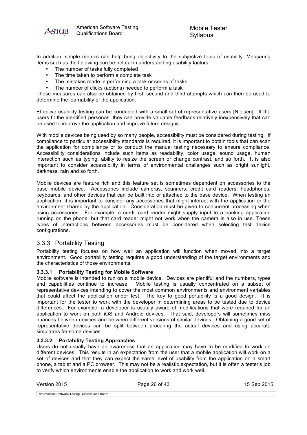

In addition, simple metrics can help bring objectivity to the subjective topic of usability. Measuring items such as the following can be helpful in understanding usability factors:

- The number of tasks fully completed
- The time taken to perform a complete task<br>• The mistakes made in performing a task or
- The mistakes made in performing a task or series of tasks
- The number of clicks (actions) needed to perform a task

These measures can also be obtained by first, second and third attempts which can then be used to determine the learnability of the application.

Effective usability testing can be conducted with a small set of representative users [Nielsen]. If the users fit the identified personas, they can provide valuable feedback relatively inexpensively that can be used to improve the application and improve future designs.

With mobile devices being used by so many people, accessibility must be considered during testing. If compliance to particular accessibility standards is required, it is important to obtain tools that can scan the application for compliance or to conduct the manual testing necessary to ensure compliance. Accessibility considerations include such items as readability, color usage, sound usage, human interaction such as typing, ability to resize the screen or change contrast, and so forth. It is also important to consider accessibility in terms of environmental challenges such as bright sunlight, darkness, rain and so forth.

Mobile devices are feature rich and this feature set is sometimes dependent on accessories to the base mobile device. Accessories include cameras, scanners, credit card readers, headphones, keyboards, and other devices that can be built into or attached to the base device. When testing an application, it is important to consider any accessories that might interact with the application or the environment shared by the application. Consideration must be given to concurrent processing when using accessories. For example, a credit card reader might supply input to a banking application running on the phone, but that card reader might not work when the camera is also in use. These types of interactions between accessories must be considered when selecting test device configurations.

## 3.3.3 Portability Testing

Portability testing focuses on how well an application will function when moved into a target environment. Good portability testing requires a good understanding of the target environments and the characteristics of those environments.

#### **3.3.3.1 Portability Testing for Mobile Software**

Mobile software is intended to run on a mobile device. Devices are plentiful and the numbers, types and capabilities continue to increase. Mobile testing is usually concentrated on a subset of representative devices intending to cover the most common environments and environment variables that could affect the application under test. The key to good portability is a good design. It is important for the tester to work with the developer in determining areas to be tested due to device differences. For example, a developer is usually aware of modifications that were required for an application to work on both iOS and Android devices. That said, developers will sometimes miss nuances between devices and between different versions of similar devices. Obtaining a good set of representative devices can be split between procuring the actual devices and using accurate simulators for some devices.

#### **3.3.3.2 Portability Testing Approaches**

Users do not usually have an awareness that an application may have to be modified to work on different devices. This results in an expectation from the user that a mobile application will work on a set of devices and that they can expect the same level of usability from the application on a smart phone, a tablet and a PC browser. This may not be a realistic expectation, but it is often a tester's job to verify which environments enable the application to work and work well.

| Version 2015 | Page 26 of 43 | 15 Sep 2015 |
|--------------|---------------|-------------|
|              |               |             |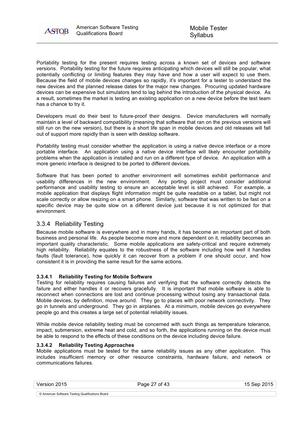

Portability testing for the present requires testing across a known set of devices and software versions. Portability testing for the future requires anticipating which devices will still be popular, what potentially conflicting or limiting features they may have and how a user will expect to use them. Because the field of mobile devices changes so rapidly, it's important for a tester to understand the new devices and the planned release dates for the major new changes. Procuring updated hardware devices can be expensive but simulators tend to lag behind the introduction of the physical device. As a result, sometimes the market is testing an existing application on a new device before the test team has a chance to try it.

Developers must do their best to future-proof their designs. Device manufacturers will normally maintain a level of backward compatibility (meaning that software that ran on the previous versions will still run on the new version), but there is a short life span in mobile devices and old releases will fall out of support more rapidly than is seen with desktop software.

Portability testing must consider whether the application is using a native device interface or a more portable interface. An application using a native device interface will likely encounter portability problems when the application is installed and run on a different type of device. An application with a more generic interface is designed to be ported to different devices.

Software that has been ported to another environment will sometimes exhibit performance and usability differences in the new environment. Any porting project must consider additional performance and usability testing to ensure an acceptable level is still achieved. For example, a mobile application that displays flight information might be quite readable on a tablet, but might not scale correctly or allow resizing on a smart phone. Similarly, software that was written to be fast on a specific device may be quite slow on a different device just because it is not optimized for that environment.

## 3.3.4 Reliability Testing

Because mobile software is everywhere and in many hands, it has become an important part of both business and personal life. As people become more and more dependent on it, reliability becomes an important quality characteristic. Some mobile applications are safety-critical and require extremely high reliability. Reliability equates to the robustness of the software including how well it handles faults (fault tolerance), how quickly it can recover from a problem if one should occur, and how consistent it is in providing the same result for the same actions.

#### **3.3.4.1 Reliability Testing for Mobile Software**

Testing for reliability requires causing failures and verifying that the software correctly detects the failure and either handles it or recovers gracefully. It is important that mobile software is able to reconnect when connections are lost and continue processing without losing any transactional data. Mobile devices, by definition, move around. They go to places with poor network connectivity. They go in tunnels and underground. They go in airplanes. At a minimum, mobile devices go everywhere people go and this creates a large set of potential reliability issues.

While mobile device reliability testing must be concerned with such things as temperature tolerance, impact, submersion, extreme heat and cold, and so forth, the applications running on the device must be able to respond to the effects of these conditions on the device including device failure.

#### **3.3.4.2 Reliability Testing Approaches**

Mobile applications must be tested for the same reliability issues as any other application. This includes insufficient memory or other resource constraints, hardware failure, and network or communications failures.

| Version 2015                                     | Page 27 of 43 | 15 Sep 2015 |
|--------------------------------------------------|---------------|-------------|
|                                                  |               |             |
| © American Software Testing Qualifications Board |               |             |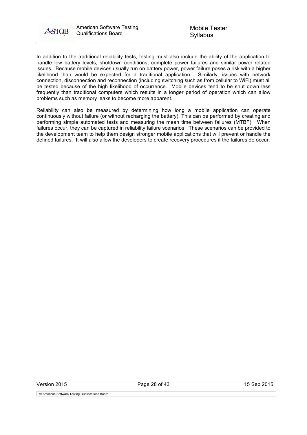

In addition to the traditional reliability tests, testing must also include the ability of the application to handle low battery levels, shutdown conditions, complete power failures and similar power related issues. Because mobile devices usually run on battery power, power failure poses a risk with a higher likelihood than would be expected for a traditional application. Similarly, issues with network connection, disconnection and reconnection (including switching such as from cellular to WiFi) must all be tested because of the high likelihood of occurrence. Mobile devices tend to be shut down less frequently than traditional computers which results in a longer period of operation which can allow problems such as memory leaks to become more apparent.

Reliability can also be measured by determining how long a mobile application can operate continuously without failure (or without recharging the battery). This can be performed by creating and performing simple automated tests and measuring the mean time between failures (MTBF). When failures occur, they can be captured in reliability failure scenarios. These scenarios can be provided to the development team to help them design stronger mobile applications that will prevent or handle the defined failures. It will also allow the developers to create recovery procedures if the failures do occur.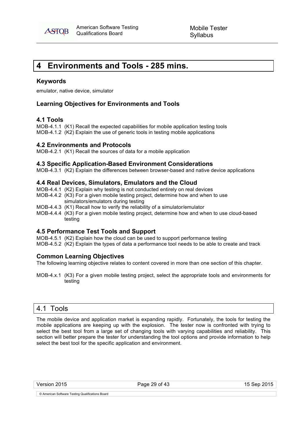

## **4 Environments and Tools - 285 mins.**

#### **Keywords**

emulator, native device, simulator

## **Learning Objectives for Environments and Tools**

## **4.1 Tools**

MOB-4.1.1 (K1) Recall the expected capabilities for mobile application testing tools MOB-4.1.2 (K2) Explain the use of generic tools in testing mobile applications

#### **4.2 Environments and Protocols**

MOB-4.2.1 (K1) Recall the sources of data for a mobile application

#### **4.3 Specific Application-Based Environment Considerations**

MOB-4.3.1 (K2) Explain the differences between browser-based and native device applications

#### **4.4 Real Devices, Simulators, Emulators and the Cloud**

- MOB-4.4.1 (K2) Explain why testing is not conducted entirely on real devices
- MOB-4.4.2 (K3) For a given mobile testing project, determine how and when to use simulators/emulators during testing
- MOB-4.4.3 (K1) Recall how to verify the reliability of a simulator/emulator
- MOB-4.4.4 (K3) For a given mobile testing project, determine how and when to use cloud-based testing

#### **4.5 Performance Test Tools and Support**

MOB-4.5.1 (K2) Explain how the cloud can be used to support performance testing MOB-4.5.2 (K2) Explain the types of data a performance tool needs to be able to create and track

## **Common Learning Objectives**

The following learning objective relates to content covered in more than one section of this chapter.

MOB-4.x.1 (K3) For a given mobile testing project, select the appropriate tools and environments for testing

## 4.1 Tools

The mobile device and application market is expanding rapidly. Fortunately, the tools for testing the mobile applications are keeping up with the explosion. The tester now is confronted with trying to select the best tool from a large set of changing tools with varying capabilities and reliability. This section will better prepare the tester for understanding the tool options and provide information to help select the best tool for the specific application and environment.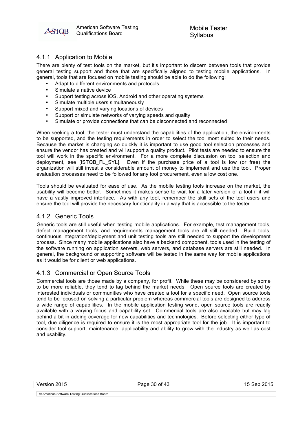American American Software Testing **ASTOB** Qualifications Board

## 4.1.1 Application to Mobile

There are plenty of test tools on the market, but it's important to discern between tools that provide general testing support and those that are specifically aligned to testing mobile applications. In general, tools that are focused on mobile testing should be able to do the following:

- Adapt to different environments and protocols
- Simulate a native device
- Support testing across iOS, Android and other operating systems
- Simulate multiple users simultaneously
- Support mixed and varying locations of devices
- Support or simulate networks of varying speeds and quality
- Simulate or provide connections that can be disconnected and reconnected

When seeking a tool, the tester must understand the capabilities of the application, the environments to be supported, and the testing requirements in order to select the tool most suited to their needs. Because the market is changing so quickly it is important to use good tool selection processes and ensure the vendor has created and will support a quality product. Pilot tests are needed to ensure the tool will work in the specific environment. For a more complete discussion on tool selection and deployment, see [ISTQB\_FL\_SYL]. Even if the purchase price of a tool is low (or free) the organization will still invest a considerable amount of money to implement and use the tool. Proper evaluation processes need to be followed for any tool procurement, even a low cost one.

Tools should be evaluated for ease of use. As the mobile testing tools increase on the market, the usability will become better. Sometimes it makes sense to wait for a later version of a tool if it will have a vastly improved interface. As with any tool, remember the skill sets of the tool users and ensure the tool will provide the necessary functionality in a way that is accessible to the tester.

#### 4.1.2 Generic Tools

Generic tools are still useful when testing mobile applications. For example, test management tools, defect management tools, and requirements management tools are all still needed. Build tools, continuous integration/deployment and unit testing tools are still needed to support the development process. Since many mobile applications also have a backend component, tools used in the testing of the software running on application servers, web servers, and database servers are still needed. In general, the background or supporting software will be tested in the same way for mobile applications as it would be for client or web applications.

#### 4.1.3 Commercial or Open Source Tools

Commercial tools are those made by a company, for profit. While these may be considered by some to be more reliable, they tend to lag behind the market needs. Open source tools are created by interested individuals or communities who have created a tool for a specific need. Open source tools tend to be focused on solving a particular problem whereas commercial tools are designed to address a wide range of capabilities. In the mobile application testing world, open source tools are readily available with a varying focus and capability set. Commercial tools are also available but may lag behind a bit in adding coverage for new capabilities and technologies. Before selecting either type of tool, due diligence is required to ensure it is the most appropriate tool for the job. It is important to consider tool support, maintenance, applicability and ability to grow with the industry as well as cost and usability.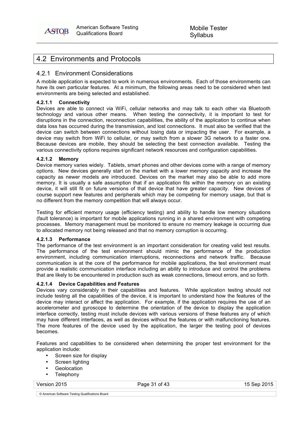

## 4.2 Environments and Protocols

## 4.2.1 Environment Considerations

A mobile application is expected to work in numerous environments. Each of those environments can have its own particular features. At a minimum, the following areas need to be considered when test environments are being selected and established.

#### **4.2.1.1 Connectivity**

Devices are able to connect via WiFi, cellular networks and may talk to each other via Bluetooth technology and various other means. When testing the connectivity, it is important to test for disruptions in the connection, reconnection capabilities, the ability of the application to continue when data loss has occurred during the transmission, and lost connections. It must also be verified that the device can switch between connections without losing data or impacting the user. For example, a device may switch from WiFi to cellular, or may switch from a slower 3G network to a faster one. Because devices are mobile, they should be selecting the best connection available. Testing the various connectivity options requires significant network resources and configuration capabilities.

#### **4.2.1.2 Memory**

Device memory varies widely. Tablets, smart phones and other devices come with a range of memory options. New devices generally start on the market with a lower memory capacity and increase the capacity as newer models are introduced. Devices on the market may also be able to add more memory. It is usually a safe assumption that if an application fits within the memory on an existing device, it will still fit on future versions of that device that have greater capacity. New devices of course support new features and peripherals which may be competing for memory usage, but that is no different from the memory competition that will always occur.

Testing for efficient memory usage (efficiency testing) and ability to handle low memory situations (fault tolerance) is important for mobile applications running in a shared environment with competing processes. Memory management must be monitored to ensure no memory leakage is occurring due to allocated memory not being released and that no memory corruption is occurring.

#### **4.2.1.3 Performance**

The performance of the test environment is an important consideration for creating valid test results. The performance of the test environment should mimic the performance of the production environment, including communication interruptions, reconnections and network traffic. Because communication is at the core of the performance for mobile applications, the test environment must provide a realistic communication interface including an ability to introduce and control the problems that are likely to be encountered in production such as weak connections, timeout errors, and so forth.

#### **4.2.1.4 Device Capabilities and Features**

Devices vary considerably in their capabilities and features. While application testing should not include testing all the capabilities of the device, it is important to understand how the features of the device may interact or affect the application. For example, if the application requires the use of an accelerometer and gyroscope to determine the orientation of the device to display the application interface correctly, testing must include devices with various versions of these features any of which may have different interfaces, as well as devices without the features or with malfunctioning features. The more features of the device used by the application, the larger the testing pool of devices becomes.

Features and capabilities to be considered when determining the proper test environment for the application include:

- Screen size for display
- Screen lighting
- **Geolocation**
- **Telephony**

Version 2015 **Page 31 of 43** 15 Sep 2015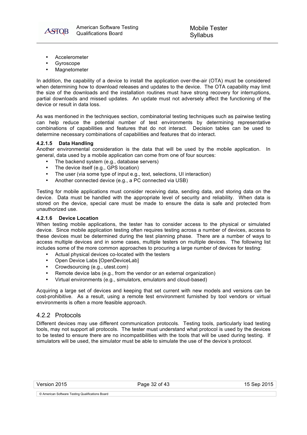

- **Accelerometer**
- **Gyroscope**
- **Magnetometer**

In addition, the capability of a device to install the application over-the-air (OTA) must be considered when determining how to download releases and updates to the device. The OTA capability may limit the size of the downloads and the installation routines must have strong recovery for interruptions, partial downloads and missed updates. An update must not adversely affect the functioning of the device or result in data loss.

As was mentioned in the techniques section, combinatorial testing techniques such as pairwise testing can help reduce the potential number of test environments by determining representative combinations of capabilities and features that do not interact. Decision tables can be used to determine necessary combinations of capabilities and features that do interact.

#### **4.2.1.5 Data Handling**

Another environmental consideration is the data that will be used by the mobile application. In general, data used by a mobile application can come from one of four sources:

- The backend system (e.g., database servers)<br>• The device itself (e.g., GPS location)
- The device itself (e.g., GPS location)
- The user (via some type of input e.g., text, selections, UI interaction)
- Another connected device (e.g., a PC connected via USB)

Testing for mobile applications must consider receiving data, sending data, and storing data on the device. Data must be handled with the appropriate level of security and reliability. When data is stored on the device, special care must be made to ensure the data is safe and protected from unauthorized use.

#### **4.2.1.6 Device Location**

When testing mobile applications, the tester has to consider access to the physical or simulated device. Since mobile application testing often requires testing across a number of devices, access to these devices must be determined during the test planning phase. There are a number of ways to access multiple devices and in some cases, multiple testers on multiple devices. The following list includes some of the more common approaches to procuring a large number of devices for testing:

- Actual physical devices co-located with the testers
- Open Device Labs [OpenDeviceLab]
- Crowdsourcing (e.g., utest.com)
- Remote device labs (e.g., from the vendor or an external organization)
- Virtual environments (e.g., simulators, emulators and cloud-based)

Acquiring a large set of devices and keeping that set current with new models and versions can be cost-prohibitive. As a result, using a remote test environment furnished by tool vendors or virtual environments is often a more feasible approach.

#### 4.2.2 Protocols

Different devices may use different communication protocols. Testing tools, particularly load testing tools, may not support all protocols. The tester must understand what protocol is used by the devices to be tested to ensure there are no incompatibilities with the tools that will be used during testing. If simulators will be used, the simulator must be able to simulate the use of the device's protocol.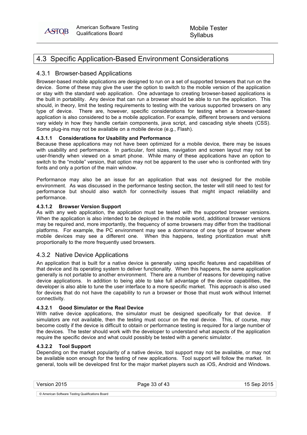American American Software Testing **ASTOB** Qualifications Board

## 4.3 Specific Application-Based Environment Considerations

## 4.3.1 Browser-based Applications

Browser-based mobile applications are designed to run on a set of supported browsers that run on the device. Some of these may give the user the option to switch to the mobile version of the application or stay with the standard web application. One advantage to creating browser-based applications is the built in portability. Any device that can run a browser should be able to run the application. This should, in theory, limit the testing requirements to testing with the various supported browsers on any type of device. There are, however, specific considerations for testing when a browser-based application is also considered to be a mobile application. For example, different browsers and versions vary widely in how they handle certain components, java script, and cascading style sheets (CSS). Some plug-ins may not be available on a mobile device (e.g., Flash).

#### **4.3.1.1 Considerations for Usability and Performance**

Because these applications may not have been optimized for a mobile device, there may be issues with usability and performance. In particular, font sizes, navigation and screen layout may not be user-friendly when viewed on a smart phone. While many of these applications have an option to switch to the "mobile" version, that option may not be apparent to the user who is confronted with tiny fonts and only a portion of the main window.

Performance may also be an issue for an application that was not designed for the mobile environment. As was discussed in the performance testing section, the tester will still need to test for performance but should also watch for connectivity issues that might impact reliability and performance.

#### **4.3.1.2 Browser Version Support**

As with any web application, the application must be tested with the supported browser versions. When the application is also intended to be deployed in the mobile world, additional browser versions may be required and, more importantly, the frequency of some browsers may differ from the traditional platforms. For example, the PC environment may see a dominance of one type of browser where mobile devices may see a different one. When this happens, testing prioritization must shift proportionally to the more frequently used browsers.

## 4.3.2 Native Device Applications

An application that is built for a native device is generally using specific features and capabilities of that device and its operating system to deliver functionality. When this happens, the same application generally is not portable to another environment. There are a number of reasons for developing native device applications. In addition to being able to take full advantage of the device capabilities, the developer is also able to tune the user interface to a more specific market. This approach is also used for devices that do not have the capability to run a browser or those that must work without Internet connectivity.

#### **4.3.2.1 Good Simulator or the Real Device**

With native device applications, the simulator must be designed specifically for that device. If simulators are not available, then the testing must occur on the real device. This, of course, may become costly if the device is difficult to obtain or performance testing is required for a large number of the devices. The tester should work with the developer to understand what aspects of the application require the specific device and what could possibly be tested with a generic simulator.

#### **4.3.2.2 Tool Support**

Depending on the market popularity of a native device, tool support may not be available, or may not be available soon enough for the testing of new applications. Tool support will follow the market. In general, tools will be developed first for the major market players such as iOS, Android and Windows.

Version 2015 Page 33 of 43 15 Sep 2015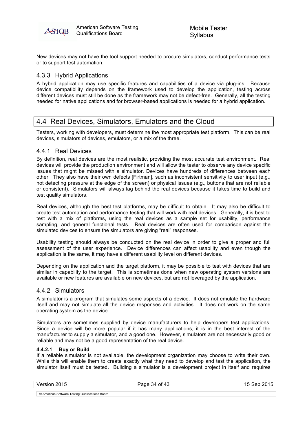

New devices may not have the tool support needed to procure simulators, conduct performance tests or to support test automation.

## 4.3.3 Hybrid Applications

A hybrid application may use specific features and capabilities of a device via plug-ins. Because device compatibility depends on the framework used to develop the application, testing across different devices must still be done as the framework may not be defect-free. Generally, all the testing needed for native applications and for browser-based applications is needed for a hybrid application.

## 4.4 Real Devices, Simulators, Emulators and the Cloud

Testers, working with developers, must determine the most appropriate test platform. This can be real devices, simulators of devices, emulators, or a mix of the three.

#### 4.4.1 Real Devices

By definition, real devices are the most realistic, providing the most accurate test environment. Real devices will provide the production environment and will allow the tester to observe any device specific issues that might be missed with a simulator. Devices have hundreds of differences between each other. They also have their own defects [Firtman], such as inconsistent sensitivity to user input (e.g., not detecting pressure at the edge of the screen) or physical issues (e.g., buttons that are not reliable or consistent). Simulators will always lag behind the real devices because it takes time to build and test quality simulators.

Real devices, although the best test platforms, may be difficult to obtain. It may also be difficult to create test automation and performance testing that will work with real devices. Generally, it is best to test with a mix of platforms, using the real devices as a sample set for usability, performance sampling, and general functional tests. Real devices are often used for comparison against the simulated devices to ensure the simulators are giving "real" responses.

Usability testing should always be conducted on the real device in order to give a proper and full assessment of the user experience. Device differences can affect usability and even though the application is the same, it may have a different usability level on different devices.

Depending on the application and the target platform, it may be possible to test with devices that are similar in capability to the target. This is sometimes done when new operating system versions are available or new features are available on new devices, but are not leveraged by the application.

#### 4.4.2 Simulators

A simulator is a program that simulates some aspects of a device. It does not emulate the hardware itself and may not simulate all the device responses and activities. It does not work on the same operating system as the device.

Simulators are sometimes supplied by device manufacturers to help developers test applications. Since a device will be more popular if it has many applications, it is in the best interest of the manufacturer to supply a simulator, and a good one. However, simulators are not necessarily good or reliable and may not be a good representation of the real device.

#### **4.4.2.1 Buy or Build**

If a reliable simulator is not available, the development organization may choose to write their own. While this will enable them to create exactly what they need to develop and test the application, the simulator itself must be tested. Building a simulator is a development project in itself and requires

Version 2015 **Page 34 of 43** Page 34 of 43 15 Sep 2015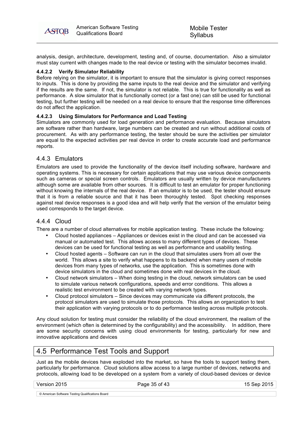

analysis, design, architecture, development, testing and, of course, documentation. Also a simulator must stay current with changes made to the real device or testing with the simulator becomes invalid.

#### **4.4.2.2 Verify Simulator Reliability**

Before relying on the simulator, it is important to ensure that the simulator is giving correct responses to inputs. This is done by providing the same inputs to the real device and the simulator and verifying if the results are the same. If not, the simulator is not reliable. This is true for functionality as well as performance. A slow simulator that is functionally correct (or a fast one) can still be used for functional testing, but further testing will be needed on a real device to ensure that the response time differences do not affect the application.

#### **4.4.2.3 Using Simulators for Performance and Load Testing**

Simulators are commonly used for load generation and performance evaluation. Because simulators are software rather than hardware, large numbers can be created and run without additional costs of procurement. As with any performance testing, the tester should be sure the activities per simulator are equal to the expected activities per real device in order to create accurate load and performance reports.

## 4.4.3 Emulators

Emulators are used to provide the functionality of the device itself including software, hardware and operating systems. This is necessary for certain applications that may use various device components such as cameras or special screen controls. Emulators are usually written by device manufacturers although some are available from other sources. It is difficult to test an emulator for proper functioning without knowing the internals of the real device. If an emulator is to be used, the tester should ensure that it is from a reliable source and that it has been thoroughly tested. Spot checking responses against real device responses is a good idea and will help verify that the version of the emulator being used corresponds to the target device.

## 4.4.4 Cloud

There are a number of cloud alternatives for mobile application testing. These include the following:

- Cloud hosted appliances Appliances or devices exist in the cloud and can be accessed via manual or automated test. This allows access to many different types of devices. These devices can be used for functional testing as well as performance and usability testing.
- Cloud hosted agents Software can run in the cloud that simulates users from all over the world. This allows a site to verify what happens to its backend when many users of mobile devices from many types of networks, use the application. This is sometimes done with device simulators in the cloud and sometimes done with real devices in the cloud.
- Cloud network simulators When doing testing in the cloud, network simulators can be used to simulate various network configurations, speeds and error conditions. This allows a realistic test environment to be created with varying network types.
- Cloud protocol simulators Since devices may communicate via different protocols, the protocol simulators are used to simulate those protocols. This allows an organization to test their application with varying protocols or to do performance testing across multiple protocols.

Any cloud solution for testing must consider the reliability of the cloud environment, the realism of the environment (which often is determined by the configurability) and the accessibility. In addition, there are some security concerns with using cloud environments for testing, particularly for new and innovative applications and devices

## 4.5 Performance Test Tools and Support

Just as the mobile devices have exploded into the market, so have the tools to support testing them, particularly for performance. Cloud solutions allow access to a large number of devices, networks and protocols, allowing load to be developed on a system from a variety of cloud-based devices or device

Version 2015 Page 35 of 43 15 Sep 2015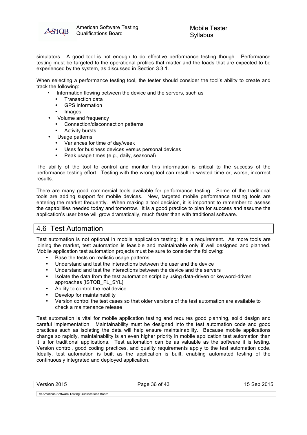

simulators. A good tool is not enough to do effective performance testing though. Performance testing must be targeted to the operational profiles that matter and the loads that are expected to be experienced by the system, as discussed in Section 3.3.1.

When selecting a performance testing tool, the tester should consider the tool's ability to create and track the following:

- Information flowing between the device and the servers, such as
	- Transaction data
	- GPS information
	- **Images**
	- Volume and frequency
		- Connection/disconnection patterns
		- **Activity bursts**
	- Usage patterns
		- Variances for time of day/week
		- Uses for business devices versus personal devices
		- Peak usage times (e.g., daily, seasonal)

The ability of the tool to control and monitor this information is critical to the success of the performance testing effort. Testing with the wrong tool can result in wasted time or, worse, incorrect results.

There are many good commercial tools available for performance testing. Some of the traditional tools are adding support for mobile devices. New, targeted mobile performance testing tools are entering the market frequently. When making a tool decision, it is important to remember to assess the capabilities needed today and tomorrow. It is a good practice to plan for success and assume the application's user base will grow dramatically, much faster than with traditional software.

## 4.6 Test Automation

Test automation is not optional in mobile application testing; it is a requirement. As more tools are joining the market, test automation is feasible and maintainable only if well designed and planned. Mobile application test automation projects must be sure to consider the following:

- Base the tests on realistic usage patterns
- Understand and test the interactions between the user and the device
- Understand and test the interactions between the device and the servers
- Isolate the data from the test automation script by using data-driven or keyword-driven approaches [ISTQB\_FL\_SYL]
- Ability to control the real device
- Develop for maintainability
- Version control the test cases so that older versions of the test automation are available to check a maintenance release

Test automation is vital for mobile application testing and requires good planning, solid design and careful implementation. Maintainability must be designed into the test automation code and good practices such as isolating the data will help ensure maintainability. Because mobile applications change so rapidly, maintainability is an even higher priority in mobile application test automation than it is for traditional applications. Test automation can be as valuable as the software it is testing. Version control, good coding practices, and quality requirements apply to the test automation code. Ideally, test automation is built as the application is built, enabling automated testing of the continuously integrated and deployed application.

| Version 2015 | Page 36 of 43 | 15 Sep 2015 |
|--------------|---------------|-------------|
|              |               |             |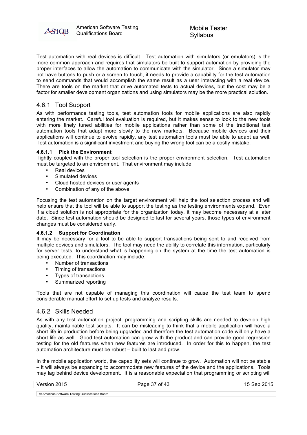

Test automation with real devices is difficult. Test automation with simulators (or emulators) is the more common approach and requires that simulators be built to support automation by providing the proper interfaces to allow the automation to communicate with the simulator. Since a simulator may not have buttons to push or a screen to touch, it needs to provide a capability for the test automation to send commands that would accomplish the same result as a user interacting with a real device. There are tools on the market that drive automated tests to actual devices, but the cost may be a factor for smaller development organizations and using simulators may be the more practical solution.

## 4.6.1 Tool Support

As with performance testing tools, test automation tools for mobile applications are also rapidly entering the market. Careful tool evaluation is required, but it makes sense to look to the new tools with more finely tuned abilities for mobile applications rather than some of the traditional test automation tools that adapt more slowly to the new markets. Because mobile devices and their applications will continue to evolve rapidly, any test automation tools must be able to adapt as well. Test automation is a significant investment and buying the wrong tool can be a costly mistake.

#### **4.6.1.1 Pick the Environment**

Tightly coupled with the proper tool selection is the proper environment selection. Test automation must be targeted to an environment. That environment may include:

- Real devices
- Simulated devices
- Cloud hosted devices or user agents
- Combination of any of the above

Focusing the test automation on the target environment will help the tool selection process and will help ensure that the tool will be able to support the testing as the testing environments expand. Even if a cloud solution is not appropriate for the organization today, it may become necessary at a later date. Since test automation should be designed to last for several years, those types of environment changes must be considered early.

#### **4.6.1.2 Support for Coordination**

It may be necessary for a tool to be able to support transactions being sent to and received from multiple devices and simulators. The tool may need the ability to correlate this information, particularly for server tests, to understand what is happening on the system at the time the test automation is being executed. This coordination may include:

- Number of transactions
- Timing of transactions
- Types of transactions
- Summarized reporting

Tools that are not capable of managing this coordination will cause the test team to spend considerable manual effort to set up tests and analyze results.

#### 4.6.2 Skills Needed

As with any test automation project, programming and scripting skills are needed to develop high quality, maintainable test scripts. It can be misleading to think that a mobile application will have a short life in production before being upgraded and therefore the test automation code will only have a short life as well. Good test automation can grow with the product and can provide good regression testing for the old features when new features are introduced. In order for this to happen, the test automation architecture must be robust – built to last and grow.

In the mobile application world, the capability sets will continue to grow. Automation will not be stable – it will always be expanding to accommodate new features of the device and the applications. Tools may lag behind device development. It is a reasonable expectation that programming or scripting will

|  | Version 2015 |  |
|--|--------------|--|
|--|--------------|--|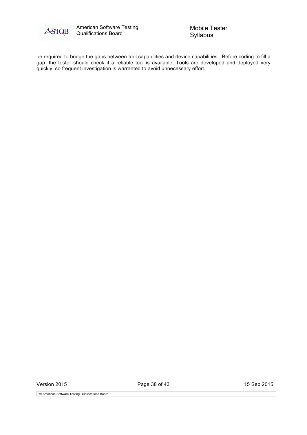

be required to bridge the gaps between tool capabilities and device capabilities. Before coding to fill a gap, the tester should check if a reliable tool is available. Tools are developed and deployed very quickly, so frequent investigation is warranted to avoid unnecessary effort.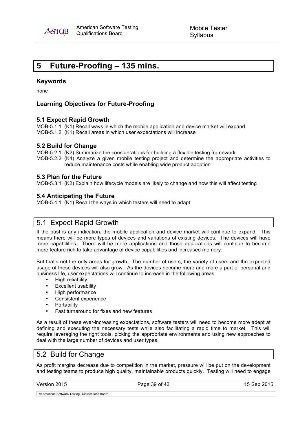

## **5 Future-Proofing – 135 mins.**

#### **Keywords**

none

## **Learning Objectives for Future-Proofing**

#### **5.1 Expect Rapid Growth**

MOB-5.1.1 (K1) Recall ways in which the mobile application and device market will expand MOB-5.1.2 (K1) Recall areas in which user expectations will increase

#### **5.2 Build for Change**

MOB-5.2.1 (K2) Summarize the considerations for building a flexible testing framework

MOB-5.2.2 (K4) Analyze a given mobile testing project and determine the appropriate activities to reduce maintenance costs while enabling wide product adoption

#### **5.3 Plan for the Future**

MOB-5.3.1 (K2) Explain how lifecycle models are likely to change and how this will affect testing

## **5.4 Anticipating the Future**

MOB-5.4.1 (K1) Recall the ways in which testers will need to adapt

## 5.1 Expect Rapid Growth

If the past is any indication, the mobile application and device market will continue to expand. This means there will be more types of devices and variations of existing devices. The devices will have more capabilities. There will be more applications and those applications will continue to become more feature rich to take advantage of device capabilities and increased memory.

But that's not the only areas for growth. The number of users, the variety of users and the expected usage of these devices will also grow. As the devices become more and more a part of personal and business life, user expectations will continue to increase in the following areas:

- High reliability
- Excellent usability
- High performance
- Consistent experience
- **Portability**
- Fast turnaround for fixes and new features

As a result of these ever-increasing expectations, software testers will need to become more adept at defining and executing the necessary tests while also facilitating a rapid time to market. This will require leveraging the right tools, picking the appropriate environments and using new approaches to deal with the large number of devices and user types.

## 5.2 Build for Change

As profit margins decrease due to competition in the market, pressure will be put on the development and testing teams to produce high quality, maintainable products quickly. Testing will need to engage

Version 2015 **Page 39 of 43** Page 39 of 43 15 Sep 2015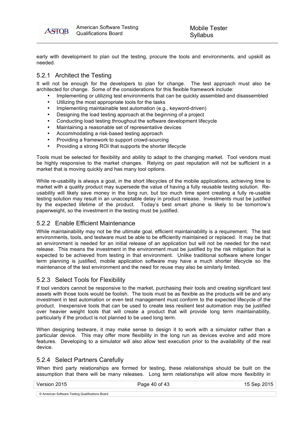American American Software Testing ASTOB Qualifications Board

early with development to plan out the testing, procure the tools and environments, and upskill as needed.

## 5.2.1 Architect the Testing

It will not be enough for the developers to plan for change. The test approach must also be architected for change. Some of the considerations for this flexible framework include:

- Implementing or utilizing test environments that can be quickly assembled and disassembled
- Utilizing the most appropriate tools for the tasks
- Implementing maintainable test automation (e.g., keyword-driven)
- Designing the load testing approach at the beginning of a project
- Conducting load testing throughout the software development lifecycle
- Maintaining a reasonable set of representative devices
- Accommodating a risk-based testing approach
- Providing a framework to support crowd-sourcing
- Providing a strong ROI that supports the shorter lifecycle

Tools must be selected for flexibility and ability to adapt to the changing market. Tool vendors must be highly responsive to the market changes. Relying on past reputation will not be sufficient in a market that is moving quickly and has many tool options.

While re-usability is always a goal, in the short lifecycles of the mobile applications, achieving time to market with a quality product may supersede the value of having a fully reusable testing solution. Reusability will likely save money in the long run, but too much time spent creating a fully re-usable testing solution may result in an unacceptable delay in product release. Investments must be justified by the expected lifetime of the product. Today's best smart phone is likely to be tomorrow's paperweight, so the investment in the testing must be justified.

## 5.2.2 Enable Efficient Maintenance

While maintainability may not be the ultimate goal, efficient maintainability is a requirement. The test environments, tools, and testware must be able to be efficiently maintained or replaced. It may be that an environment is needed for an initial release of an application but will not be needed for the next release. This means the investment in the environment must be justified by the risk mitigation that is expected to be achieved from testing in that environment. Unlike traditional software where longer term planning is justified, mobile application software may have a much shorter lifecycle so the maintenance of the test environment and the need for reuse may also be similarly limited.

## 5.2.3 Select Tools for Flexibility

If tool vendors cannot be responsive to the market, purchasing their tools and creating significant test assets with those tools would be foolish. The tools must be as flexible as the products will be and any investment in test automation or even test management must conform to the expected lifecycle of the product. Inexpensive tools that can be used to create less resilient test automation may be justified over heavier weight tools that will create a product that will provide long term maintainability, particularly if the product is not planned to be used long term.

When designing testware, it may make sense to design it to work with a simulator rather than a particular device. This may offer more flexibility in the long run as devices evolve and add more features. Developing to a simulator will also allow test execution prior to the availability of the real device.

## 5.2.4 Select Partners Carefully

When third party relationships are formed for testing, these relationships should be built on the assumption that there will be many releases. Long term relationships will allow more flexibility in

Version 2015 Page 40 of 43 15 Sep 2015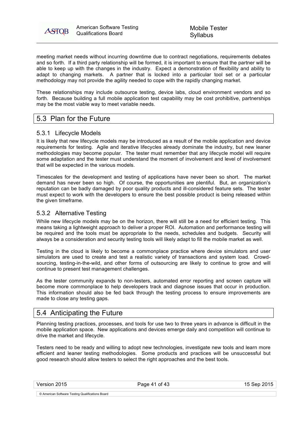

meeting market needs without incurring downtime due to contract negotiations, requirements debates and so forth. If a third party relationship will be formed, it is important to ensure that the partner will be able to keep up with the changes in the industry. Expect a demonstration of flexibility and ability to adapt to changing markets. A partner that is locked into a particular tool set or a particular methodology may not provide the agility needed to cope with the rapidly changing market.

These relationships may include outsource testing, device labs, cloud environment vendors and so forth. Because building a full mobile application test capability may be cost prohibitive, partnerships may be the most viable way to meet variable needs.

## 5.3 Plan for the Future

## 5.3.1 Lifecycle Models

It is likely that new lifecycle models may be introduced as a result of the mobile application and device requirements for testing. Agile and iterative lifecycles already dominate the industry, but new leaner methodologies may become popular. The tester must remember that any lifecycle model will require some adaptation and the tester must understand the moment of involvement and level of involvement that will be expected in the various models.

Timescales for the development and testing of applications have never been so short. The market demand has never been so high. Of course, the opportunities are plentiful. But, an organization's reputation can be badly damaged by poor quality products and ill-considered feature sets. The tester must expect to work with the developers to ensure the best possible product is being released within the given timeframe.

## 5.3.2 Alternative Testing

While new lifecycle models may be on the horizon, there will still be a need for efficient testing. This means taking a lightweight approach to deliver a proper ROI. Automation and performance testing will be required and the tools must be appropriate to the needs, schedules and budgets. Security will always be a consideration and security testing tools will likely adapt to fill the mobile market as well.

Testing in the cloud is likely to become a commonplace practice where device simulators and user simulators are used to create and test a realistic variety of transactions and system load. Crowdsourcing, testing-in-the-wild, and other forms of outsourcing are likely to continue to grow and will continue to present test management challenges.

As the tester community expands to non-testers, automated error reporting and screen capture will become more commonplace to help developers track and diagnose issues that occur in production. This information should also be fed back through the testing process to ensure improvements are made to close any testing gaps.

## 5.4 Anticipating the Future

Planning testing practices, processes, and tools for use two to three years in advance is difficult in the mobile application space. New applications and devices emerge daily and competition will continue to drive the market and lifecycle.

Testers need to be ready and willing to adopt new technologies, investigate new tools and learn more efficient and leaner testing methodologies. Some products and practices will be unsuccessful but good research should allow testers to select the right approaches and the best tools.

Version 2015 **Page 41 of 43** 15 Sep 2015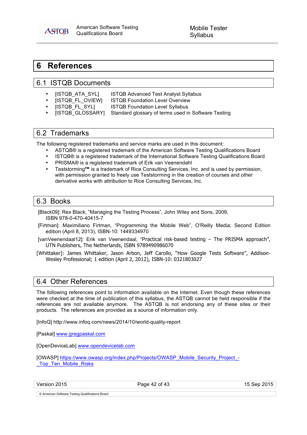American American Software Testing Qualifications Board

Mobile Tester Syllabus

## **6 References**

**ASTOB** 

## 6.1 ISTQB Documents

- ISTQB ATA SYLI ISTQB Advanced Test Analyst Syllabus
	-
	- [ISTQB\_FL\_OVIEW] ISTQB Foundation Level Overview<br>[ISTQB\_FL\_SYL] ISTQB Foundation Level Syllabus **ISTQB Foundation Level Syllabus**
	- [ISTQB\_GLOSSARY] Standard glossary of terms used in Software Testing

## 6.2 Trademarks

The following registered trademarks and service marks are used in this document:

- ASTQB® is a registered trademark of the American Software Testing Qualifications Board
- ISTQB® is a registered trademark of the International Software Testing Qualifications Board
- PRISMA® is a registered trademark of Erik van Veenendahl
- Teststorming**™** is a trademark of Rice Consulting Services, Inc. and is used by permission, with permission granted to freely use Teststorming in the creation of courses and other derivative works with attribution to Rice Consulting Services, Inc.

## 6.3 Books

[Black09]: Rex Black, "Managing the Testing Process", John Wiley and Sons, 2009, ISBN 978-0-470-40415-7

- [Firtman]: Maximiliano Firtman, "Programming the Mobile Web", O'Reilly Media; Second Edition edition (April 8, 2013), ISBN-10: 1449334970
- [vanVeenendaal12]: Erik van Veenendaal, "Practical risk-based testing The PRISMA approach", UTN Publishers, The Netherlands, ISBN 9789490986070
- [Whittaker]: James Whittaker, Jason Arbon, Jeff Carollo, "How Google Tests Software", Addison-Wesley Professional; 1 edition (April 2, 2012), ISBN-10: 0321803027

## 6.4 Other References

The following references point to information available on the Internet. Even though these references were checked at the time of publication of this syllabus, the ASTQB cannot be held responsible if the references are not available anymore. The ASTQB is not endorsing any of these sites or their products. The references are provided as a source of information only.

[InfoQ] http://www.infoq.com/news/2014/10/world-quality-report

[Paskal] www.gregpaskal.com

[OpenDeviceLab] www.opendevicelab.com

[OWASP] https://www.owasp.org/index.php/Projects/OWASP\_Mobile\_Security\_Project\_- Top Ten Mobile Risks

Version 2015 **Page 42 of 43** Page 42 of 43 15 Sep 2015